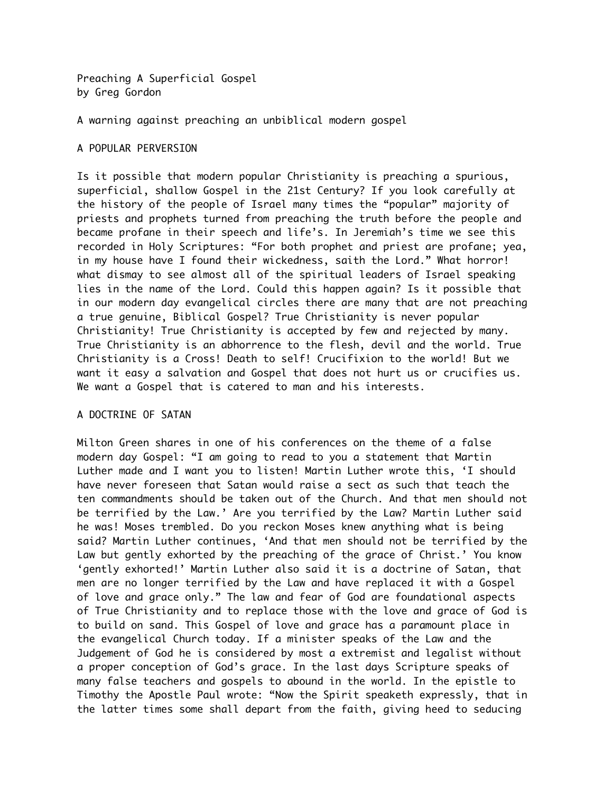Preaching A Superficial Gospel by Greg Gordon

A warning against preaching an unbiblical modern gospel

## A POPULAR PERVERSION

Is it possible that modern popular Christianity is preaching a spurious, superficial, shallow Gospel in the 21st Century? If you look carefully at the history of the people of Israel many times the "popular" majority of priests and prophets turned from preaching the truth before the people and became profane in their speech and life's. In Jeremiah's time we see this recorded in Holy Scriptures: "For both prophet and priest are profane; yea, in my house have I found their wickedness, saith the Lord." What horror! what dismay to see almost all of the spiritual leaders of Israel speaking lies in the name of the Lord. Could this happen again? Is it possible that in our modern day evangelical circles there are many that are not preaching a true genuine, Biblical Gospel? True Christianity is never popular Christianity! True Christianity is accepted by few and rejected by many. True Christianity is an abhorrence to the flesh, devil and the world. True Christianity is a Cross! Death to self! Crucifixion to the world! But we want it easy a salvation and Gospel that does not hurt us or crucifies us. We want a Gospel that is catered to man and his interests.

## A DOCTRINE OF SATAN

Milton Green shares in one of his conferences on the theme of a false modern day Gospel: "I am going to read to you a statement that Martin Luther made and I want you to listen! Martin Luther wrote this, 'I should have never foreseen that Satan would raise a sect as such that teach the ten commandments should be taken out of the Church. And that men should not be terrified by the Law.' Are you terrified by the Law? Martin Luther said he was! Moses trembled. Do you reckon Moses knew anything what is being said? Martin Luther continues, 'And that men should not be terrified by the Law but gently exhorted by the preaching of the grace of Christ.' You know 'gently exhorted!' Martin Luther also said it is a doctrine of Satan, that men are no longer terrified by the Law and have replaced it with a Gospel of love and grace only." The law and fear of God are foundational aspects of True Christianity and to replace those with the love and grace of God is to build on sand. This Gospel of love and grace has a paramount place in the evangelical Church today. If a minister speaks of the Law and the Judgement of God he is considered by most a extremist and legalist without a proper conception of God's grace. In the last days Scripture speaks of many false teachers and gospels to abound in the world. In the epistle to Timothy the Apostle Paul wrote: "Now the Spirit speaketh expressly, that in the latter times some shall depart from the faith, giving heed to seducing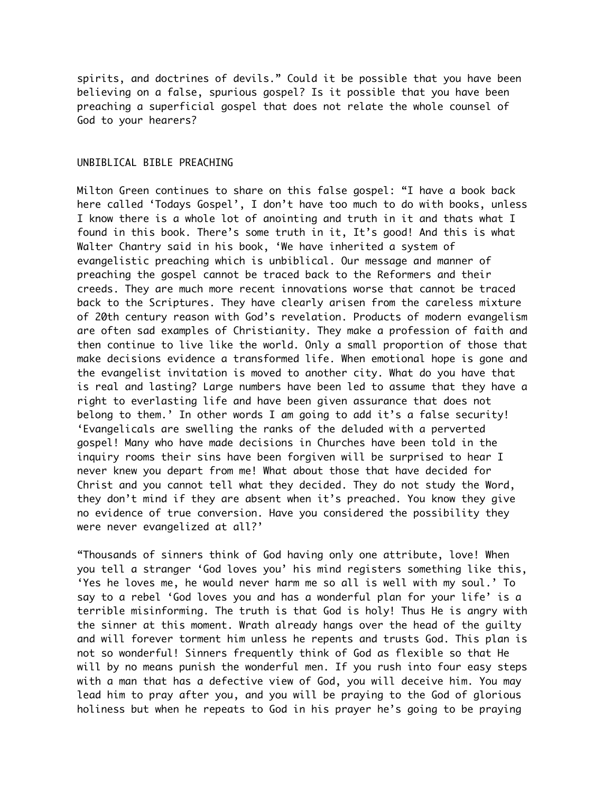spirits, and doctrines of devils." Could it be possible that you have been believing on a false, spurious gospel? Is it possible that you have been preaching a superficial gospel that does not relate the whole counsel of God to your hearers?

## UNBIBLICAL BIBLE PREACHING

Milton Green continues to share on this false gospel: "I have a book back here called 'Todays Gospel', I don't have too much to do with books, unless I know there is a whole lot of anointing and truth in it and thats what I found in this book. There's some truth in it, It's good! And this is what Walter Chantry said in his book, 'We have inherited a system of evangelistic preaching which is unbiblical. Our message and manner of preaching the gospel cannot be traced back to the Reformers and their creeds. They are much more recent innovations worse that cannot be traced back to the Scriptures. They have clearly arisen from the careless mixture of 20th century reason with God's revelation. Products of modern evangelism are often sad examples of Christianity. They make a profession of faith and then continue to live like the world. Only a small proportion of those that make decisions evidence a transformed life. When emotional hope is gone and the evangelist invitation is moved to another city. What do you have that is real and lasting? Large numbers have been led to assume that they have a right to everlasting life and have been given assurance that does not belong to them.' In other words I am going to add it's a false security! 'Evangelicals are swelling the ranks of the deluded with a perverted gospel! Many who have made decisions in Churches have been told in the inquiry rooms their sins have been forgiven will be surprised to hear I never knew you depart from me! What about those that have decided for Christ and you cannot tell what they decided. They do not study the Word, they don't mind if they are absent when it's preached. You know they give no evidence of true conversion. Have you considered the possibility they were never evangelized at all?'

"Thousands of sinners think of God having only one attribute, love! When you tell a stranger 'God loves you' his mind registers something like this, 'Yes he loves me, he would never harm me so all is well with my soul.' To say to a rebel 'God loves you and has a wonderful plan for your life' is a terrible misinforming. The truth is that God is holy! Thus He is angry with the sinner at this moment. Wrath already hangs over the head of the guilty and will forever torment him unless he repents and trusts God. This plan is not so wonderful! Sinners frequently think of God as flexible so that He will by no means punish the wonderful men. If you rush into four easy steps with a man that has a defective view of God, you will deceive him. You may lead him to pray after you, and you will be praying to the God of glorious holiness but when he repeats to God in his prayer he's going to be praying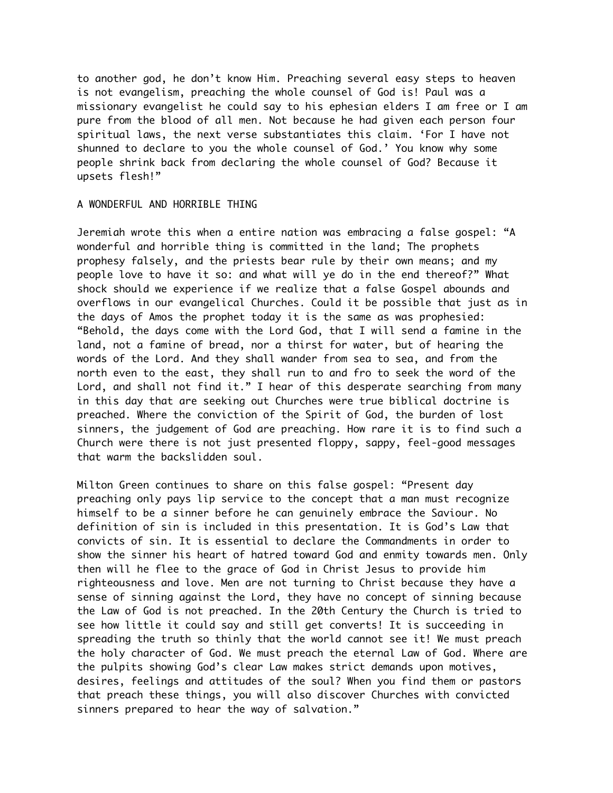to another god, he don't know Him. Preaching several easy steps to heaven is not evangelism, preaching the whole counsel of God is! Paul was a missionary evangelist he could say to his ephesian elders I am free or I am pure from the blood of all men. Not because he had given each person four spiritual laws, the next verse substantiates this claim. 'For I have not shunned to declare to you the whole counsel of God.' You know why some people shrink back from declaring the whole counsel of God? Because it upsets flesh!"

## A WONDERFUL AND HORRIBLE THING

Jeremiah wrote this when a entire nation was embracing a false gospel: "A wonderful and horrible thing is committed in the land; The prophets prophesy falsely, and the priests bear rule by their own means; and my people love to have it so: and what will ye do in the end thereof?" What shock should we experience if we realize that a false Gospel abounds and overflows in our evangelical Churches. Could it be possible that just as in the days of Amos the prophet today it is the same as was prophesied: "Behold, the days come with the Lord God, that I will send a famine in the land, not a famine of bread, nor a thirst for water, but of hearing the words of the Lord. And they shall wander from sea to sea, and from the north even to the east, they shall run to and fro to seek the word of the Lord, and shall not find it." I hear of this desperate searching from many in this day that are seeking out Churches were true biblical doctrine is preached. Where the conviction of the Spirit of God, the burden of lost sinners, the judgement of God are preaching. How rare it is to find such a Church were there is not just presented floppy, sappy, feel-good messages that warm the backslidden soul.

Milton Green continues to share on this false gospel: "Present day preaching only pays lip service to the concept that a man must recognize himself to be a sinner before he can genuinely embrace the Saviour. No definition of sin is included in this presentation. It is God's Law that convicts of sin. It is essential to declare the Commandments in order to show the sinner his heart of hatred toward God and enmity towards men. Only then will he flee to the grace of God in Christ Jesus to provide him righteousness and love. Men are not turning to Christ because they have a sense of sinning against the Lord, they have no concept of sinning because the Law of God is not preached. In the 20th Century the Church is tried to see how little it could say and still get converts! It is succeeding in spreading the truth so thinly that the world cannot see it! We must preach the holy character of God. We must preach the eternal Law of God. Where are the pulpits showing God's clear Law makes strict demands upon motives, desires, feelings and attitudes of the soul? When you find them or pastors that preach these things, you will also discover Churches with convicted sinners prepared to hear the way of salvation."